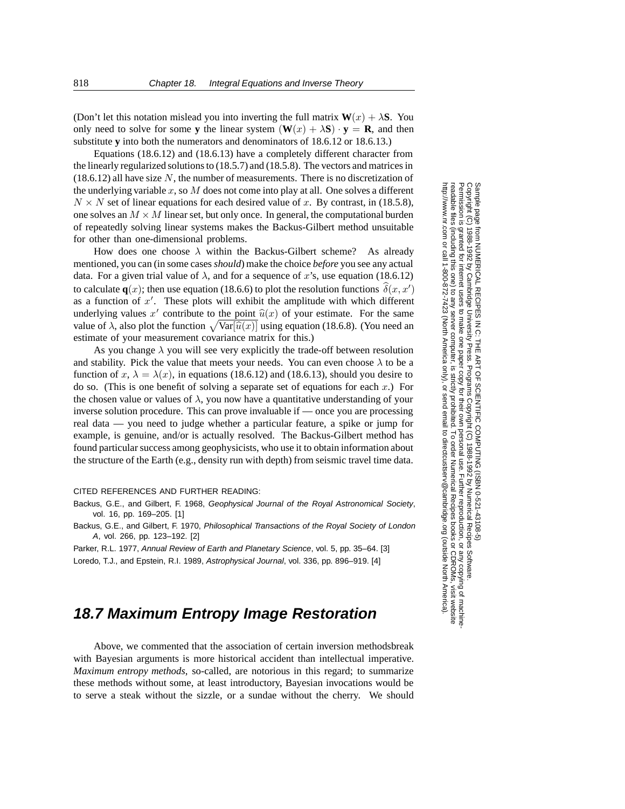(Don't let this notation mislead you into inverting the full matrix  $W(x) + \lambda S$ . You only need to solve for some **y** the linear system  $(\mathbf{W}(x) + \lambda \mathbf{S}) \cdot \mathbf{y} = \mathbf{R}$ , and then substitute **y** into both the numerators and denominators of 18.6.12 or 18.6.13.)

Equations (18.6.12) and (18.6.13) have a completely different character from the linearly regularized solutions to (18.5.7) and (18.5.8). The vectors and matrices in  $(18.6.12)$  all have size N, the number of measurements. There is no discretization of the underlying variable  $x$ , so  $M$  does not come into play at all. One solves a different  $N \times N$  set of linear equations for each desired value of x. By contrast, in (18.5.8), one solves an  $M \times M$  linear set, but only once. In general, the computational burden of repeatedly solving linear systems makes the Backus-Gilbert method unsuitable for other than one-dimensional problems.

How does one choose  $\lambda$  within the Backus-Gilbert scheme? As already mentioned, you can (in some cases *should*) make the choice *before* you see any actual data. For a given trial value of  $\lambda$ , and for a sequence of x's, use equation (18.6.12) to calculate **q**(x); then use equation (18.6.6) to plot the resolution functions  $\delta(x, x')$ <br>as a function of x'. These plots will exhibit the amplitude with which different as a function of x'. These plots will exhibit the amplitude with which different<br>underlying values x' contribute to the point  $\hat{u}(x)$  of your estimate. For the same underlying values x' contribute to the point  $\hat{u}(x)$  of your estimate. For the same value of  $\lambda$ , also plot the function  $\sqrt{\text{Var}[\hat{u}(x)]}$  using equation (18.6.8). (You need an estimate of your measurement covariance matrix for this) estimate of your measurement covariance matrix for this.)

As you change  $\lambda$  you will see very explicitly the trade-off between resolution and stability. Pick the value that meets your needs. You can even choose  $\lambda$  to be a function of  $x, \lambda = \lambda(x)$ , in equations (18.6.12) and (18.6.13), should you desire to do so. (This is one benefit of solving a separate set of equations for each  $x$ .) For the chosen value or values of  $\lambda$ , you now have a quantitative understanding of your inverse solution procedure. This can prove invaluable if — once you are processing real data — you need to judge whether a particular feature, a spike or jump for example, is genuine, and/or is actually resolved. The Backus-Gilbert method has found particular success among geophysicists, who use it to obtain information about the structure of the Earth (e.g., density run with depth) from seismic travel time data.

#### CITED REFERENCES AND FURTHER READING:

Backus, G.E., and Gilbert, F. 1968, Geophysical Journal of the Royal Astronomical Society, vol. 16, pp. 169–205. [1]

Backus, G.E., and Gilbert, F. 1970, Philosophical Transactions of the Royal Society of London A, vol. 266, pp. 123–192. [2]

Parker, R.L. 1977, Annual Review of Earth and Planetary Science, vol. 5, pp. 35-64. [3] Loredo, T.J., and Epstein, R.I. 1989, Astrophysical Journal, vol. 336, pp. 896–919. [4]

# **18.7 Maximum Entropy Image Restoration**

Above, we commented that the association of certain inversion methodsbreak with Bayesian arguments is more historical accident than intellectual imperative. *Maximum entropy methods*, so-called, are notorious in this regard; to summarize these methods without some, at least introductory, Bayesian invocations would be to serve a steak without the sizzle, or a sundae without the cherry. We should

Permission is granted for internet users to make one paper copy for their own personal use. Further reproduction, or any copyin Copyright (C) 1988-1992 by Cambridge University Press.Programs Copyright (C) 1988-1992 by Numerical Recipes Software. Sample page from NUMERICAL RECIPES IN C: THE ART OF SCIENTIFIC COMPUTING (ISBN 0-521-43108-5) g of machinereadable files (including this one) to any servercomputer, is strictly prohibited. To order Numerical Recipes booksor CDROMs, visit website http://www.nr.com or call 1-800-872-7423 (North America only),or send email to directcustserv@cambridge.org (outside North America).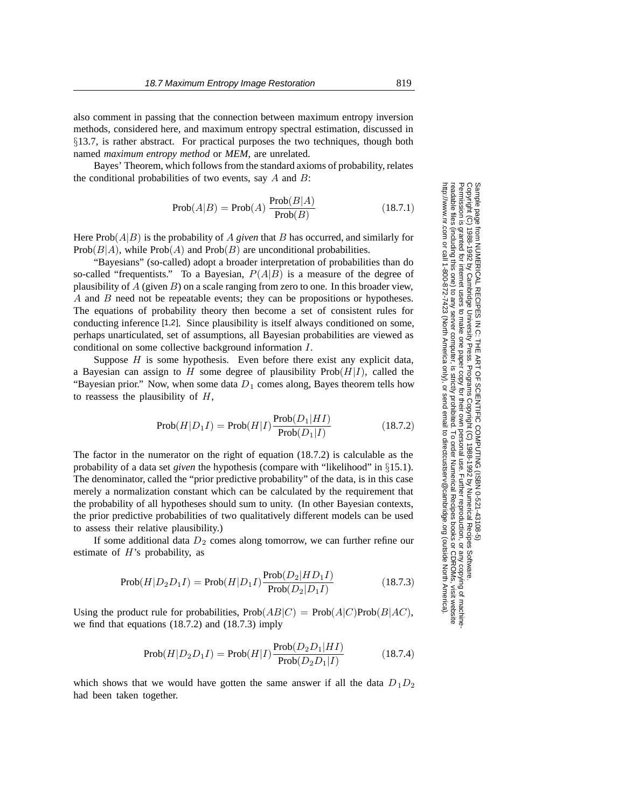also comment in passing that the connection between maximum entropy inversion methods, considered here, and maximum entropy spectral estimation, discussed in §13.7, is rather abstract. For practical purposes the two techniques, though both named *maximum entropy method* or *MEM*, are unrelated.

Bayes' Theorem, which follows from the standard axioms of probability, relates the conditional probabilities of two events, say  $A$  and  $B$ :

$$
Prob(A|B) = Prob(A) \frac{Prob(B|A)}{Prob(B)}
$$
(18.7.1)

Here Prob(A|B) is the probability of A *given* that B has occurred, and similarly for  $Prob(B|A)$ , while  $Prob(A)$  and  $Prob(B)$  are unconditional probabilities.

"Bayesians" (so-called) adopt a broader interpretation of probabilities than do so-called "frequentists." To a Bayesian,  $P(A|B)$  is a measure of the degree of plausibility of  $A$  (given  $B$ ) on a scale ranging from zero to one. In this broader view, A and B need not be repeatable events; they can be propositions or hypotheses. The equations of probability theory then become a set of consistent rules for conducting inference [1,2]. Since plausibility is itself always conditioned on some, perhaps unarticulated, set of assumptions, all Bayesian probabilities are viewed as conditional on some collective background information I.

Suppose  $H$  is some hypothesis. Even before there exist any explicit data, a Bayesian can assign to H some degree of plausibility  $\text{Prob}(H|I)$ , called the "Bayesian prior." Now, when some data  $D_1$  comes along, Bayes theorem tells how to reassess the plausibility of  $H$ ,

$$
Prob(H|D_1I) = Prob(H|I) \frac{Prob(D_1|HI)}{Prob(D_1|I)}
$$
\n(18.7.2)

The factor in the numerator on the right of equation (18.7.2) is calculable as the probability of a data set *given* the hypothesis (compare with "likelihood" in §15.1). The denominator, called the "prior predictive probability" of the data, is in this case merely a normalization constant which can be calculated by the requirement that the probability of all hypotheses should sum to unity. (In other Bayesian contexts, the prior predictive probabilities of two qualitatively different models can be used to assess their relative plausibility.)

If some additional data  $D_2$  comes along tomorrow, we can further refine our estimate of  $H$ 's probability, as

$$
Prob(H|D_2D_1I) = Prob(H|D_1I) \frac{Prob(D_2|HD_1I)}{Prob(D_2|D_1I)}
$$
(18.7.3)

Using the product rule for probabilities,  $Prob(AB|C) = Prob(A|C)Prob(B|AC)$ , we find that equations (18.7.2) and (18.7.3) imply

$$
Prob(H|D_2D_1I) = Prob(H|I) \frac{Prob(D_2D_1|HI)}{Prob(D_2D_1|I)}
$$
(18.7.4)

which shows that we would have gotten the same answer if all the data  $D_1D_2$ had been taken together.

Permission is granted for internet users to make one paper copy for their own personal use. Further reproduction, or any copyin Copyright (C) 1988-1992 by Cambridge University Press.Programs Copyright (C) 1988-1992 by Numerical Recipes Software. Sample page from NUMERICAL RECIPES IN C: THE ART OF SCIENTIFIC COMPUTING (ISBN 0-521-43108-5) g of machinereadable files (including this one) to any servercomputer, is strictly prohibited. To order Numerical Recipes booksor CDROMs, visit website http://www.nr.com or call 1-800-872-7423 (North America only),or send email to directcustserv@cambridge.org (outside North America).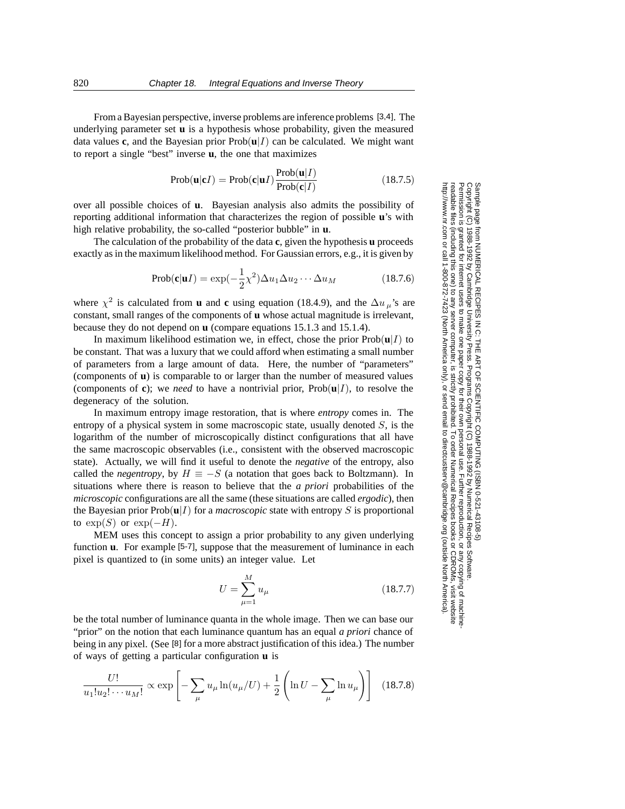From a Bayesian perspective, inverse problems are inference problems [3,4]. The underlying parameter set **u** is a hypothesis whose probability, given the measured data values **c**, and the Bayesian prior  $Prob(u|I)$  can be calculated. We might want to report a single "best" inverse **u**, the one that maximizes

$$
Prob(\mathbf{u}|\mathbf{c}I) = Prob(\mathbf{c}|\mathbf{u}I) \frac{Prob(\mathbf{u}|I)}{Prob(\mathbf{c}|I)}
$$
(18.7.5)

over all possible choices of **u**. Bayesian analysis also admits the possibility of reporting additional information that characterizes the region of possible **u**'s with high relative probability, the so-called "posterior bubble" in **u**.

The calculation of the probability of the data **c**, given the hypothesis **u** proceeds exactly as in the maximum likelihood method. For Gaussian errors, e.g., it is given by

$$
Prob(c|uI) = \exp(-\frac{1}{2}\chi^2)\Delta u_1 \Delta u_2 \cdots \Delta u_M
$$
 (18.7.6)

where  $\chi^2$  is calculated from **u** and **c** using equation (18.4.9), and the  $\Delta u_\mu$ 's are constant small ranges of the components of **u** whose actual magnitude is irrelevant constant, small ranges of the components of **u** whose actual magnitude is irrelevant, because they do not depend on **u** (compare equations 15.1.3 and 15.1.4).

In maximum likelihood estimation we, in effect, chose the prior  $\text{Prob}(\mathbf{u}|I)$  to be constant. That was a luxury that we could afford when estimating a small number of parameters from a large amount of data. Here, the number of "parameters" (components of **u**) is comparable to or larger than the number of measured values (components of **c**); we *need* to have a nontrivial prior,  $Prob(\mathbf{u}|I)$ , to resolve the degeneracy of the solution.

In maximum entropy image restoration, that is where *entropy* comes in. The entropy of a physical system in some macroscopic state, usually denoted  $S$ , is the logarithm of the number of microscopically distinct configurations that all have the same macroscopic observables (i.e., consistent with the observed macroscopic state). Actually, we will find it useful to denote the *negative* of the entropy, also called the *negentropy*, by  $H \equiv -S$  (a notation that goes back to Boltzmann). In situations where there is reason to believe that the *a priori* probabilities of the *microscopic* configurations are all the same (these situations are called *ergodic*), then the Bayesian prior  $\text{Prob}(\mathbf{u}|I)$  for a *macroscopic* state with entropy S is proportional to  $\exp(S)$  or  $\exp(-H)$ .

MEM uses this concept to assign a prior probability to any given underlying function **u**. For example [5-7], suppose that the measurement of luminance in each pixel is quantized to (in some units) an integer value. Let

$$
U = \sum_{\mu=1}^{M} u_{\mu} \tag{18.7.7}
$$

be the total number of luminance quanta in the whole image. Then we can base our "prior" on the notion that each luminance quantum has an equal *a priori* chance of being in any pixel. (See [8] for a more abstract justification of this idea.) The number of ways of getting a particular configuration **u** is

$$
\frac{U!}{u_1!u_2! \cdots u_M!} \propto \exp \left[ -\sum_{\mu} u_{\mu} \ln(u_{\mu}/U) + \frac{1}{2} \left( \ln U - \sum_{\mu} \ln u_{\mu} \right) \right] \tag{18.7.8}
$$

Permission is granted for internet users to make one paper copy for their own personal use. Further reproduction, or any copyin Copyright (C) 1988-1992 by Cambridge University Press.Programs Copyright (C) 1988-1992 by Numerical Recipes Software. g of machinereadable files (including this one) to any servercomputer, is strictly prohibited. To order Numerical Recipes booksor CDROMs, visit website http://www.nr.com or call 1-800-872-7423 (North America only),or send email to directcustserv@cambridge.org (outside North America).

Sample page from NUMERICAL RECIPES IN C: THE ART OF SCIENTIFIC COMPUTING (ISBN 0-521-43108-5)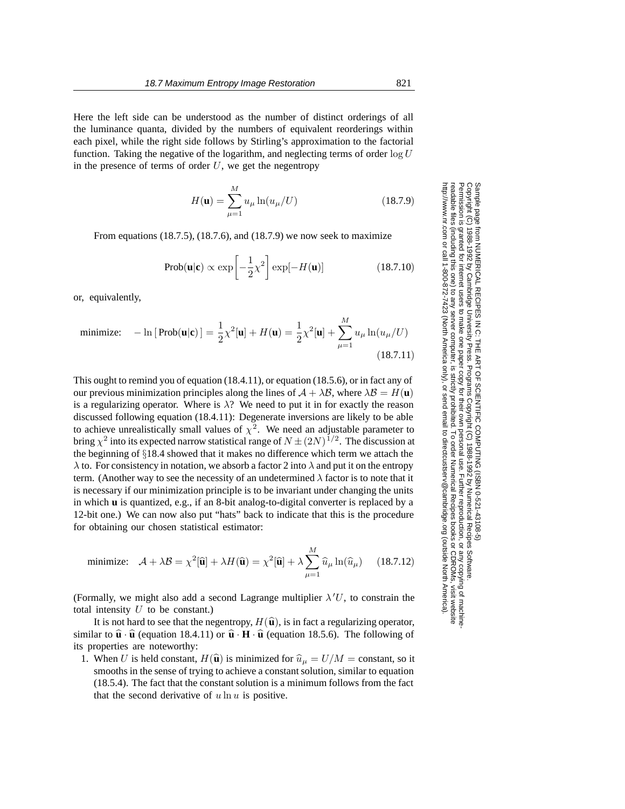Here the left side can be understood as the number of distinct orderings of all the luminance quanta, divided by the numbers of equivalent reorderings within each pixel, while the right side follows by Stirling's approximation to the factorial function. Taking the negative of the logarithm, and neglecting terms of order  $\log U$ in the presence of terms of order  $U$ , we get the negentropy

$$
H(\mathbf{u}) = \sum_{\mu=1}^{M} u_{\mu} \ln(u_{\mu}/U)
$$
 (18.7.9)

From equations (18.7.5), (18.7.6), and (18.7.9) we now seek to maximize

$$
Prob(\mathbf{u}|\mathbf{c}) \propto \exp\left[-\frac{1}{2}\chi^2\right] \exp[-H(\mathbf{u})] \quad (18.7.10)
$$

or, equivalently,

minimize: 
$$
-\ln[\text{Prob}(\mathbf{u}|\mathbf{c})] = \frac{1}{2}\chi^2[\mathbf{u}] + H(\mathbf{u}) = \frac{1}{2}\chi^2[\mathbf{u}] + \sum_{\mu=1}^M u_\mu \ln(u_\mu/U)
$$
(18.7.11)

This ought to remind you of equation (18.4.11), or equation (18.5.6), or in fact any of our previous minimization principles along the lines of  $A + \lambda B$ , where  $\lambda B = H(\mathbf{u})$ is a regularizing operator. Where is  $\lambda$ ? We need to put it in for exactly the reason discussed following equation (18.4.11): Degenerate inversions are likely to be able to achieve unrealistically small values of  $\chi^2$ . We need an adjustable parameter to bring  $\chi^2$  into its expected narrow statistical range of  $N \pm (2N)^{1/2}$ . The discussion at the beginning of §18.4 showed that it makes no difference which term we attach the  $\lambda$  to. For consistency in notation, we absorb a factor 2 into  $\lambda$  and put it on the entropy term. (Another way to see the necessity of an undetermined  $\lambda$  factor is to note that it is necessary if our minimization principle is to be invariant under changing the units in which **u** is quantized, e.g., if an 8-bit analog-to-digital converter is replaced by a 12-bit one.) We can now also put "hats" back to indicate that this is the procedure for obtaining our chosen statistical estimator:

minimize: 
$$
\mathcal{A} + \lambda \mathcal{B} = \chi^2[\hat{\mathbf{u}}] + \lambda H(\hat{\mathbf{u}}) = \chi^2[\hat{\mathbf{u}}] + \lambda \sum_{\mu=1}^M \hat{u}_{\mu} \ln(\hat{u}_{\mu})
$$
 (18.7.12)

(Formally, we might also add a second Lagrange multiplier  $\lambda'U$ , to constrain the total intensity  $U$  to be constant) total intensity  $U$  to be constant.)

It is not hard to see that the negentropy,  $H(\hat{\mathbf{u}})$ , is in fact a regularizing operator, similar to  $\hat{\mathbf{u}} \cdot \hat{\mathbf{u}}$  (equation 18.4.11) or  $\hat{\mathbf{u}} \cdot \mathbf{H} \cdot \hat{\mathbf{u}}$  (equation 18.5.6). The following of its properties are noteworthy:

1. When U is held constant,  $H(\hat{\mathbf{u}})$  is minimized for  $\hat{u}_{\mu} = U/M = \text{constant}$ , so it smooths in the sense of trying to achieve a constant solution, similar to equation (18.5.4). The fact that the constant solution is a minimum follows from the fact that the second derivative of  $u \ln u$  is positive.

Permission is granted for internet users to make one paper copy for their own personal use. Further reproduction, or any copyin Copyright (C) 1988-1992 by Cambridge University Press.Programs Copyright (C) 1988-1992 by Numerical Recipes Software. g of machinereadable files (including this one) to any servercomputer, is strictly prohibited. To order Numerical Recipes booksor CDROMs, visit website http://www.nr.com or call 1-800-872-7423 (North America only),or send email to directcustserv@cambridge.org (outside North America).

Sample page from NUMERICAL RECIPES IN C: THE ART OF SCIENTIFIC COMPUTING (ISBN 0-521-43108-5)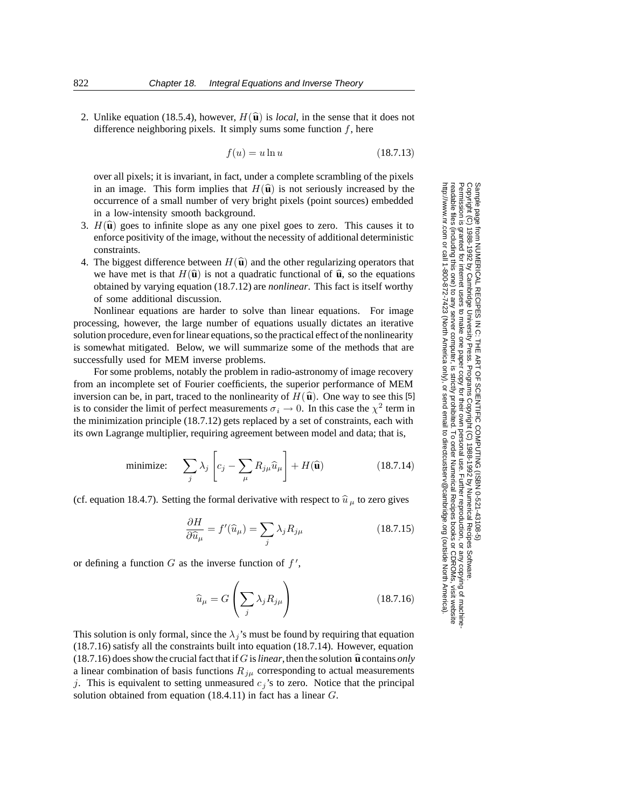2. Unlike equation (18.5.4), however,  $H(\hat{\mathbf{u}})$  is *local*, in the sense that it does not difference neighboring pixels. It simply sums some function  $f$ , here

$$
f(u) = u \ln u \tag{18.7.13}
$$

over all pixels; it is invariant, in fact, under a complete scrambling of the pixels in an image. This form implies that  $H(\hat{\mathbf{u}})$  is not seriously increased by the occurrence of a small number of very bright pixels (point sources) embedded in a low-intensity smooth background.

- 3.  $H(\hat{\mathbf{u}})$  goes to infinite slope as any one pixel goes to zero. This causes it to enforce positivity of the image, without the necessity of additional deterministic constraints.
- 4. The biggest difference between  $H(\hat{\mathbf{u}})$  and the other regularizing operators that we have met is that  $H(\hat{\mathbf{u}})$  is not a quadratic functional of  $\hat{\mathbf{u}}$ , so the equations obtained by varying equation (18.7.12) are *nonlinear*. This fact is itself worthy of some additional discussion.

Nonlinear equations are harder to solve than linear equations. For image processing, however, the large number of equations usually dictates an iterative solution procedure, even for linear equations, so the practical effect of the nonlinearity is somewhat mitigated. Below, we will summarize some of the methods that are successfully used for MEM inverse problems.

For some problems, notably the problem in radio-astronomy of image recovery from an incomplete set of Fourier coefficients, the superior performance of MEM inversion can be, in part, traced to the nonlinearity of  $H(\hat{\mathbf{u}})$ . One way to see this [5] is to consider the limit of perfect measurements  $\sigma_i \to 0$ . In this case the  $\chi^2$  term in the minimization principle (18.7.12) gets replaced by a set of constraints, each with its own Lagrange multiplier, requiring agreement between model and data; that is,

minimize: 
$$
\sum_{j} \lambda_j \left[ c_j - \sum_{\mu} R_{j\mu} \widehat{u}_{\mu} \right] + H(\widehat{\mathbf{u}})
$$
 (18.7.14)

(cf. equation 18.4.7). Setting the formal derivative with respect to  $\hat{u}_{\mu}$  to zero gives

$$
\frac{\partial H}{\partial \widehat{u}_{\mu}} = f'(\widehat{u}_{\mu}) = \sum_{j} \lambda_{j} R_{j\mu} \qquad (18.7.15)
$$

or defining a function  $G$  as the inverse function of  $f'$ ,

$$
\widehat{u}_{\mu} = G\left(\sum_{j} \lambda_{j} R_{j\mu}\right) \tag{18.7.16}
$$

This solution is only formal, since the  $\lambda_j$ 's must be found by requiring that equation (18.7.16) satisfy all the constraints built into equation (18.7.14). However, equation  $(18.7.16)$  does show the crucial fact that if G is *linear*, then the solution  $\hat{u}$  contains *only* a linear combination of basis functions  $R_{j\mu}$  corresponding to actual measurements j. This is equivalent to setting unmeasured  $c_j$ 's to zero. Notice that the principal solution obtained from equation (18.4.11) in fact has a linear G.

Permission is granted for internet users to make one paper copy for their own personal use. Further reproduction, or any copyin Copyright (C) 1988-1992 by Cambridge University Press.Programs Copyright (C) 1988-1992 by Numerical Recipes Software. g of machinereadable files (including this one) to any servercomputer, is strictly prohibited. To order Numerical Recipes booksor CDROMs, visit website http://www.nr.com or call 1-800-872-7423 (North America only),or send email to directcustserv@cambridge.org (outside North America).

Sample page from NUMERICAL RECIPES IN C: THE ART OF SCIENTIFIC COMPUTING (ISBN 0-521-43108-5)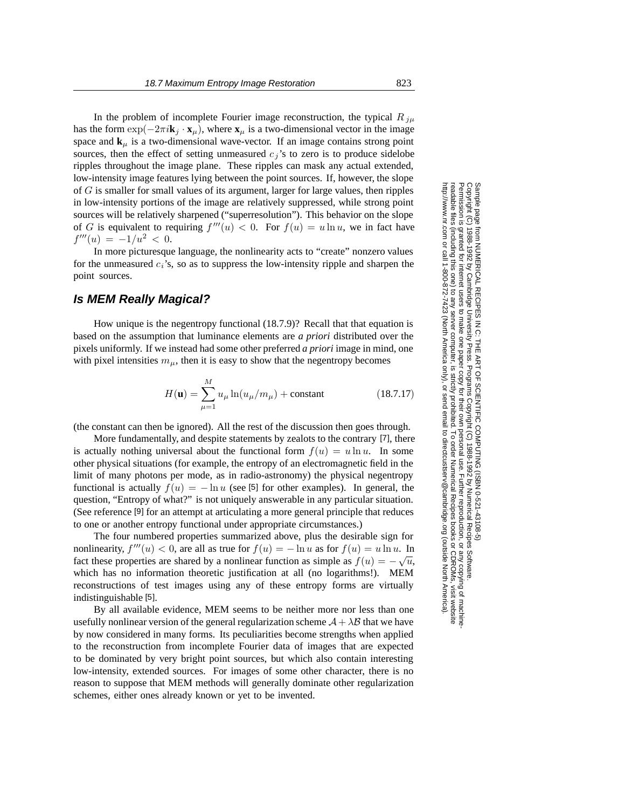In the problem of incomplete Fourier image reconstruction, the typical  $R_{j\mu}$ has the form  $\exp(-2\pi i \mathbf{k}_j \cdot \mathbf{x}_\mu)$ , where  $\mathbf{x}_\mu$  is a two-dimensional vector in the image space and  $\mathbf{k}_\mu$  is a two-dimensional wave-vector. If an image contains strong point sources, then the effect of setting unmeasured  $c_j$ 's to zero is to produce sidelobe ripples throughout the image plane. These ripples can mask any actual extended, low-intensity image features lying between the point sources. If, however, the slope of  $G$  is smaller for small values of its argument, larger for large values, then ripples in low-intensity portions of the image are relatively suppressed, while strong point sources will be relatively sharpened ("superresolution"). This behavior on the slope of G is equivalent to requiring  $f'''(u) < 0$ . For  $f(u) = u \ln u$ , we in fact have  $f'''(u) = -1/u^2 < 0.$ 

In more picturesque language, the nonlinearity acts to "create" nonzero values for the unmeasured  $c_i$ 's, so as to suppress the low-intensity ripple and sharpen the point sources.

## **Is MEM Really Magical?**

How unique is the negentropy functional (18.7.9)? Recall that that equation is based on the assumption that luminance elements are *a priori* distributed over the pixels uniformly. If we instead had some other preferred *a priori* image in mind, one with pixel intensities  $m<sub>u</sub>$ , then it is easy to show that the negentropy becomes

$$
H(\mathbf{u}) = \sum_{\mu=1}^{M} u_{\mu} \ln(u_{\mu}/m_{\mu}) + \text{constant}
$$
 (18.7.17)

(the constant can then be ignored). All the rest of the discussion then goes through.

More fundamentally, and despite statements by zealots to the contrary [7], there is actually nothing universal about the functional form  $f(u) = u \ln u$ . In some other physical situations (for example, the entropy of an electromagnetic field in the limit of many photons per mode, as in radio-astronomy) the physical negentropy functional is actually  $f(u) = -\ln u$  (see [5] for other examples). In general, the question, "Entropy of what?" is not uniquely answerable in any particular situation. (See reference [9] for an attempt at articulating a more general principle that reduces to one or another entropy functional under appropriate circumstances.)

The four numbered properties summarized above, plus the desirable sign for nonlinearity,  $f'''(u) < 0$ , are all as true for  $f(u) = -\ln u$  as for  $f(u) = u \ln u$ . In fact these properties are shared by a nonlinear function as simple as  $f(u) = -\sqrt{u}$ , which has no information theoretic justification at all (no logarithms!). MEM reconstructions of test images using any of these entropy forms are virtually indistinguishable [5].

By all available evidence, MEM seems to be neither more nor less than one usefully nonlinear version of the general regularization scheme  $A + \lambda B$  that we have by now considered in many forms. Its peculiarities become strengths when applied to the reconstruction from incomplete Fourier data of images that are expected to be dominated by very bright point sources, but which also contain interesting low-intensity, extended sources. For images of some other character, there is no reason to suppose that MEM methods will generally dominate other regularization schemes, either ones already known or yet to be invented.

Permission is granted for internet users to make one paper copy for their own personal use. Further reproduction, or any copyin

computer, is strictly prohibited. To order Numerical Recipes books

or send email to directcustserv@cambridge.org (outside North America).

Sample page from NUMERICAL RECIPES IN C: THE ART OF SCIENTIFIC COMPUTING (ISBN 0-521-43108-5)

Programs Copyright (C) 1988-1992 by Numerical Recipes Software.

g of machine-

or CDROMs, visit website

Copyright (C) 1988-1992 by Cambridge University Press.

readable files (including this one) to any server

http://www.nr.com or call 1-800-872-7423 (North America only),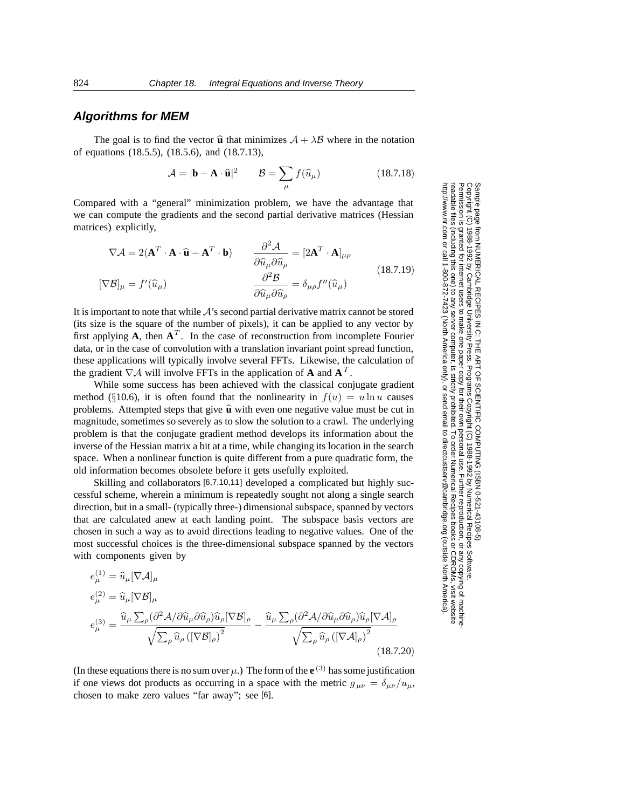#### **Algorithms for MEM**

The goal is to find the vector  $\hat{\mathbf{u}}$  that minimizes  $A + \lambda B$  where in the notation of equations (18.5.5), (18.5.6), and (18.7.13),

$$
\mathcal{A} = |\mathbf{b} - \mathbf{A} \cdot \hat{\mathbf{u}}|^2 \qquad \mathcal{B} = \sum_{\mu} f(\hat{u}_{\mu}) \tag{18.7.18}
$$

Compared with a "general" minimization problem, we have the advantage that we can compute the gradients and the second partial derivative matrices (Hessian matrices) explicitly,

$$
\nabla \mathcal{A} = 2(\mathbf{A}^T \cdot \mathbf{A} \cdot \hat{\mathbf{u}} - \mathbf{A}^T \cdot \mathbf{b}) \qquad \frac{\partial^2 \mathcal{A}}{\partial \hat{u}_{\mu} \partial \hat{u}_{\rho}} = [2\mathbf{A}^T \cdot \mathbf{A}]_{\mu\rho}
$$
  
\n
$$
[\nabla \mathcal{B}]_{\mu} = f'(\hat{u}_{\mu}) \qquad \frac{\partial^2 \mathcal{B}}{\partial \hat{u}_{\mu} \partial \hat{u}_{\rho}} = \delta_{\mu\rho} f''(\hat{u}_{\mu})
$$
\n(18.7.19)

It is important to note that while  $A$ 's second partial derivative matrix cannot be stored (its size is the square of the number of pixels), it can be applied to any vector by first applying  $\mathbf{A}$ , then  $\mathbf{A}^T$ . In the case of reconstruction from incomplete Fourier data, or in the case of convolution with a translation invariant point spread function, these applications will typically involve several FFTs. Likewise, the calculation of the gradient  $\nabla A$  will involve FFTs in the application of **A** and  $\mathbf{A}^T$ .

While some success has been achieved with the classical conjugate gradient method (§10.6), it is often found that the nonlinearity in  $f(u) = u \ln u$  causes problems. Attempted steps that give  $\hat{u}$  with even one negative value must be cut in magnitude, sometimes so severely as to slow the solution to a crawl. The underlying problem is that the conjugate gradient method develops its information about the inverse of the Hessian matrix a bit at a time, while changing its location in the search space. When a nonlinear function is quite different from a pure quadratic form, the old information becomes obsolete before it gets usefully exploited.

Skilling and collaborators [6,7,10,11] developed a complicated but highly successful scheme, wherein a minimum is repeatedly sought not along a single search direction, but in a small- (typically three-) dimensional subspace, spanned by vectors that are calculated anew at each landing point. The subspace basis vectors are chosen in such a way as to avoid directions leading to negative values. One of the most successful choices is the three-dimensional subspace spanned by the vectors with components given by

$$
e_{\mu}^{(1)} = \hat{u}_{\mu} [\nabla A]_{\mu}
$$
  
\n
$$
e_{\mu}^{(2)} = \hat{u}_{\mu} [\nabla \mathcal{B}]_{\mu}
$$
  
\n
$$
e_{\mu}^{(3)} = \frac{\hat{u}_{\mu} \sum_{\rho} (\partial^2 \mathcal{A} / \partial \hat{u}_{\mu} \partial \hat{u}_{\rho}) \hat{u}_{\rho} [\nabla \mathcal{B}]_{\rho}}{\sqrt{\sum_{\rho} \hat{u}_{\rho} \left( [\nabla \mathcal{B}]_{\rho} \right)^2}} - \frac{\hat{u}_{\mu} \sum_{\rho} (\partial^2 \mathcal{A} / \partial \hat{u}_{\mu} \partial \hat{u}_{\rho}) \hat{u}_{\rho} [\nabla \mathcal{A}]_{\rho}}{\sqrt{\sum_{\rho} \hat{u}_{\rho} \left( [\nabla \mathcal{A}]_{\rho} \right)^2}}
$$
\n(18.7.20)

(In these equations there is no sum over  $\mu$ .) The form of the  $e^{(3)}$  has some justification if one views dot products as occurring in a space with the metric  $g_{\mu\nu} = \delta_{\mu\nu}/u_{\mu}$ , chosen to make zero values "far away"; see [6].

Sample page t<br>Copyright (C) Copyright (C) 1988-1992 by Cambridge University Press.Sample page from NUMERICAL RECIPES IN C: THE ART OF SCIENTIFIC COMPUTING (ISBN 0-521-43108-5) http://www.nr.com or call 1-800-872-7423 (North America only),readable files (including this one) to any serverPermission is granted for internet users to make one paper copy for their own personal use. Further reproduction, or any copyin Copyright from NUMERICAL RECIPES IN C. THE ART OF SCIENTIFIC COMPUTING (ISBN 0-521-43108-5)<br>1988-1992 by Cambridge University Press. Programs Copyright (C) 1988-1992 by Numerical Recipes Software computer, is strictly prohibited. To order Numerical Recipes booksPrograms Copyright (C) 1988-1992 by Numerical Recipes Software. or send email to directcustserv@cambridge.org (outside North America). or CDROMs, visit website g of machine-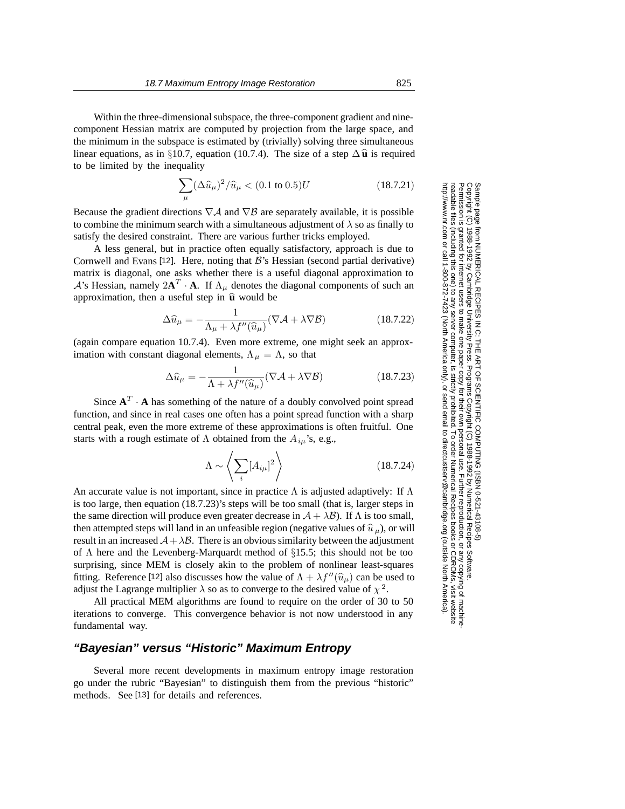Within the three-dimensional subspace, the three-component gradient and ninecomponent Hessian matrix are computed by projection from the large space, and the minimum in the subspace is estimated by (trivially) solving three simultaneous linear equations, as in §10.7, equation (10.7.4). The size of a step  $\Delta \hat{\mathbf{u}}$  is required to be limited by the inequality

$$
\sum_{\mu} (\Delta \widehat{u}_{\mu})^2 / \widehat{u}_{\mu} < (0.1 \text{ to } 0.5) U \qquad (18.7.21)
$$

Because the gradient directions  $\nabla A$  and  $\nabla B$  are separately available, it is possible to combine the minimum search with a simultaneous adjustment of  $\lambda$  so as finally to satisfy the desired constraint. There are various further tricks employed.

A less general, but in practice often equally satisfactory, approach is due to Cornwell and Evans [12]. Here, noting that  $\mathcal{B}$ 's Hessian (second partial derivative) matrix is diagonal, one asks whether there is a useful diagonal approximation to  $\mathcal{A}$ 's Hessian, namely  $2\mathbf{A}^T \cdot \mathbf{A}$ . If  $\Lambda_\mu$  denotes the diagonal components of such an approximation, then a useful step in  $\hat{u}$  would be

$$
\Delta \widehat{u}_{\mu} = -\frac{1}{\Lambda_{\mu} + \lambda f''(\widehat{u}_{\mu})} (\nabla \mathcal{A} + \lambda \nabla \mathcal{B})
$$
(18.7.22)

(again compare equation 10.7.4). Even more extreme, one might seek an approximation with constant diagonal elements,  $\Lambda_{\mu} = \Lambda$ , so that

$$
\Delta \widehat{u}_{\mu} = -\frac{1}{\Lambda + \lambda f''(\widehat{u}_{\mu})} (\nabla \mathcal{A} + \lambda \nabla \mathcal{B})
$$
 (18.7.23)

Since  $A^T \cdot A$  has something of the nature of a doubly convolved point spread function, and since in real cases one often has a point spread function with a sharp central peak, even the more extreme of these approximations is often fruitful. One starts with a rough estimate of  $\Lambda$  obtained from the  $A_{iu}$ 's, e.g.,

$$
\Lambda \sim \left\langle \sum_{i} [A_{i\mu}]^2 \right\rangle \tag{18.7.24}
$$

An accurate value is not important, since in practice  $\Lambda$  is adjusted adaptively: If  $\Lambda$ is too large, then equation (18.7.23)'s steps will be too small (that is, larger steps in the same direction will produce even greater decrease in  $A + \lambda B$ ). If  $\Lambda$  is too small, then attempted steps will land in an unfeasible region (negative values of  $\hat{u}_{\mu}$ ), or will result in an increased  $A + \lambda B$ . There is an obvious similarity between the adjustment of  $\Lambda$  here and the Levenberg-Marquardt method of §15.5; this should not be too surprising, since MEM is closely akin to the problem of nonlinear least-squares fitting. Reference [12] also discusses how the value of  $\Lambda + \lambda f''(\hat{u}_{\mu})$  can be used to adjust the Lagrange multiplier  $\lambda$  so as to converge to the desired value of  $\chi^2$ .

All practical MEM algorithms are found to require on the order of 30 to 50 iterations to converge. This convergence behavior is not now understood in any fundamental way.

### **"Bayesian" versus "Historic" Maximum Entropy**

Several more recent developments in maximum entropy image restoration go under the rubric "Bayesian" to distinguish them from the previous "historic" methods. See [13] for details and references.

Permission is granted for internet users to make one paper copy for their own personal use. Further reproduction, or any copyin Copyright (C) 1988-1992 by Cambridge University Press.Programs Copyright (C) 1988-1992 by Numerical Recipes Software. Sample page from NUMERICAL RECIPES IN C: THE ART OF SCIENTIFIC COMPUTING (ISBN 0-521-43108-5) g of machinereadable files (including this one) to any servercomputer, is strictly prohibited. To order Numerical Recipes booksor CDROMs, visit website http://www.nr.com or call 1-800-872-7423 (North America only),or send email to directcustserv@cambridge.org (outside North America).